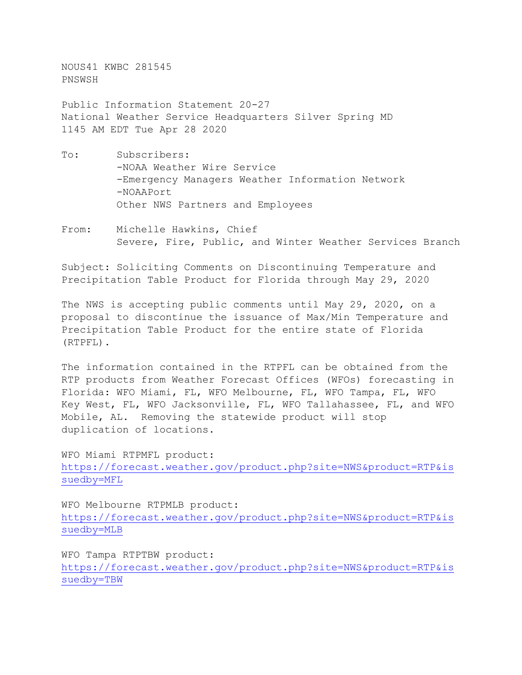NOUS41 KWBC 281545 PNSWSH

Public Information Statement 20-27 National Weather Service Headquarters Silver Spring MD 1145 AM EDT Tue Apr 28 2020

- To: Subscribers: -NOAA Weather Wire Service -Emergency Managers Weather Information Network -NOAAPort Other NWS Partners and Employees
- From: Michelle Hawkins, Chief Severe, Fire, Public, and Winter Weather Services Branch

Subject: Soliciting Comments on Discontinuing Temperature and Precipitation Table Product for Florida through May 29, 2020

The NWS is accepting public comments until May 29, 2020, on a proposal to discontinue the issuance of Max/Min Temperature and Precipitation Table Product for the entire state of Florida (RTPFL).

The information contained in the RTPFL can be obtained from the RTP products from Weather Forecast Offices (WFOs) forecasting in Florida: WFO Miami, FL, WFO Melbourne, FL, WFO Tampa, FL, WFO Key West, FL, WFO Jacksonville, FL, WFO Tallahassee, FL, and WFO Mobile, AL. Removing the statewide product will stop duplication of locations.

WFO Miami RTPMFL product: [https://forecast.weather.gov/product.php?site=NWS&product=RTP&is](https://forecast.weather.gov/product.php?site=NWS&product=RTP&issuedby=MFL) [suedby=MFL](https://forecast.weather.gov/product.php?site=NWS&product=RTP&issuedby=MFL)

WFO Melbourne RTPMLB product: [https://forecast.weather.gov/product.php?site=NWS&product=RTP&is](https://forecast.weather.gov/product.php?site=NWS&product=RTP&issuedby=MLB) [suedby=MLB](https://forecast.weather.gov/product.php?site=NWS&product=RTP&issuedby=MLB)

WFO Tampa RTPTBW product: [https://forecast.weather.gov/product.php?site=NWS&product=RTP&is](https://forecast.weather.gov/product.php?site=NWS&product=RTP&issuedby=TBW) [suedby=TBW](https://forecast.weather.gov/product.php?site=NWS&product=RTP&issuedby=TBW)